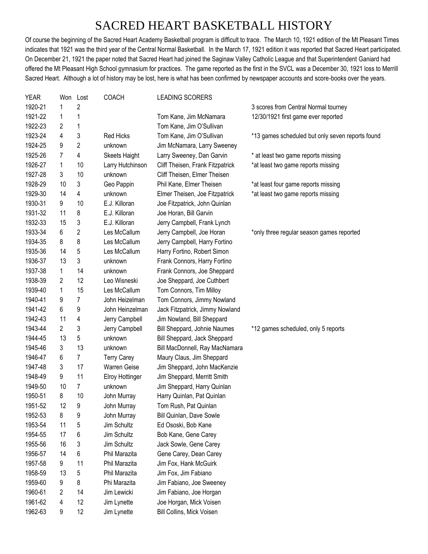## SACRED HEART BASKETBALL HISTORY

Of course the beginning of the Sacred Heart Academy Basketball program is difficult to trace. The March 10, 1921 edition of the Mt Pleasant Times indicates that 1921 was the third year of the Central Normal Basketball. In the March 17, 1921 edition it was reported that Sacred Heart participated. On December 21, 1921 the paper noted that Sacred Heart had joined the Saginaw Valley Catholic League and that Superintendent Ganiard had offered the Mt Pleasant High School gymnasium for practices. The game reported as the first in the SVCL was a December 30, 1921 loss to Merrill Sacred Heart. Although a lot of history may be lost, here is what has been confirmed by newspaper accounts and score-books over the years.

| YEAR    | Won | Lost           | <b>COACH</b>           | LEADING SCORERS                  |                                                  |
|---------|-----|----------------|------------------------|----------------------------------|--------------------------------------------------|
| 1920-21 | 1   | 2              |                        |                                  | 3 scores from Central Normal tourney             |
| 1921-22 | 1   | 1              |                        | Tom Kane, Jim McNamara           | 12/30/1921 first game ever reported              |
| 1922-23 | 2   | 1              |                        | Tom Kane, Jim O'Sullivan         |                                                  |
| 1923-24 | 4   | 3              | <b>Red Hicks</b>       | Tom Kane, Jim O'Sullivan         | *13 games scheduled but only seven reports found |
| 1924-25 | 9   | $\overline{c}$ | unknown                | Jim McNamara, Larry Sweeney      |                                                  |
| 1925-26 | 7   | 4              | <b>Skeets Haight</b>   | Larry Sweeney, Dan Garvin        | * at least two game reports missing              |
| 1926-27 | 1   | 10             | Larry Hutchinson       | Cliff Theisen, Frank Fitzpatrick | *at least two game reports missing               |
| 1927-28 | 3   | 10             | unknown                | Cliff Theisen, Elmer Theisen     |                                                  |
| 1928-29 | 10  | 3              | Geo Pappin             | Phil Kane, Elmer Theisen         | *at least four game reports missing              |
| 1929-30 | 14  | 4              | unknown                | Elmer Theisen, Joe Fitzpatrick   | *at least two game reports missing               |
| 1930-31 | 9   | 10             | E.J. Killoran          | Joe Fitzpatrick, John Quinlan    |                                                  |
| 1931-32 | 11  | 8              | E.J. Killoran          | Joe Horan, Bill Garvin           |                                                  |
| 1932-33 | 15  | 3              | E.J. Killoran          | Jerry Campbell, Frank Lynch      |                                                  |
| 1933-34 | 6   | $\overline{c}$ | Les McCallum           | Jerry Campbell, Joe Horan        | *only three regular season games reported        |
| 1934-35 | 8   | 8              | Les McCallum           | Jerry Campbell, Harry Fortino    |                                                  |
| 1935-36 | 14  | 5              | Les McCallum           | Harry Fortino, Robert Simon      |                                                  |
| 1936-37 | 13  | 3              | unknown                | Frank Connors, Harry Fortino     |                                                  |
| 1937-38 | 1   | 14             | unknown                | Frank Connors, Joe Sheppard      |                                                  |
| 1938-39 | 2   | 12             | Leo Wisneski           | Joe Sheppard, Joe Cuthbert       |                                                  |
| 1939-40 | 1   | 15             | Les McCallum           | Tom Connors, Tim Milloy          |                                                  |
| 1940-41 | 9   | 7              | John Heizelman         | Tom Connors, Jimmy Nowland       |                                                  |
| 1941-42 | 6   | 9              | John Heinzelman        | Jack Fitzpatrick, Jimmy Nowland  |                                                  |
| 1942-43 | 11  | 4              | Jerry Campbell         | Jim Nowland, Bill Sheppard       |                                                  |
| 1943-44 | 2   | 3              | Jerry Campbell         | Bill Sheppard, Johnie Naumes     | *12 games scheduled, only 5 reports              |
| 1944-45 | 13  | 5              | unknown                | Bill Sheppard, Jack Sheppard     |                                                  |
| 1945-46 | 3   | 13             | unknown                | Bill MacDonnell, Ray MacNamara   |                                                  |
| 1946-47 | 6   | $\overline{7}$ | <b>Terry Carey</b>     | Maury Claus, Jim Sheppard        |                                                  |
| 1947-48 | 3   | 17             | <b>Warren Geise</b>    | Jim Sheppard, John MacKenzie     |                                                  |
| 1948-49 | 9   | 11             | <b>Elroy Hottinger</b> | Jim Sheppard, Merritt Smith      |                                                  |
| 1949-50 | 10  | 7              | unknown                | Jim Sheppard, Harry Quinlan      |                                                  |
| 1950-51 | 8   | 10             | John Murray            | Harry Quinlan, Pat Quinlan       |                                                  |
| 1951-52 | 12  | 9              | John Murrav            | Tom Rush, Pat Quinlan            |                                                  |
| 1952-53 | 8   | 9              | John Murray            | Bill Quinlan, Dave Sowle         |                                                  |
| 1953-54 | 11  | 5              | Jim Schultz            | Ed Ososki, Bob Kane              |                                                  |
| 1954-55 | 17  | 6              | Jim Schultz            | Bob Kane, Gene Carey             |                                                  |
| 1955-56 | 16  | 3              | Jim Schultz            | Jack Sowle, Gene Carey           |                                                  |
| 1956-57 | 14  | 6              | Phil Marazita          | Gene Carey, Dean Carey           |                                                  |
| 1957-58 | 9   | 11             | Phil Marazita          | Jim Fox, Hank McGuirk            |                                                  |
| 1958-59 | 13  | 5              | Phil Marazita          | Jim Fox, Jim Fabiano             |                                                  |
| 1959-60 | 9   | 8              | Phi Marazita           | Jim Fabiano, Joe Sweeney         |                                                  |
| 1960-61 | 2   | 14             | Jim Lewicki            | Jim Fabiano, Joe Horgan          |                                                  |
| 1961-62 | 4   | 12             | Jim Lynette            | Joe Horgan, Mick Voisen          |                                                  |
| 1962-63 | 9   | 12             | Jim Lynette            | Bill Collins, Mick Voisen        |                                                  |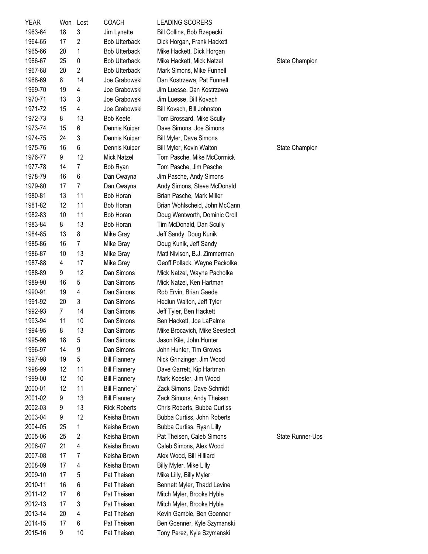| <b>YEAR</b>        | Won      | Lost           | <b>COACH</b>                | <b>LEADING SCORERS</b>                                   |                  |
|--------------------|----------|----------------|-----------------------------|----------------------------------------------------------|------------------|
| 1963-64            | 18       | 3              | Jim Lynette                 | Bill Collins, Bob Rzepecki                               |                  |
| 1964-65            | 17       | $\overline{2}$ | <b>Bob Utterback</b>        | Dick Horgan, Frank Hackett                               |                  |
| 1965-66            | 20       | 1              | <b>Bob Utterback</b>        | Mike Hackett, Dick Horgan                                |                  |
| 1966-67            | 25       | 0              | <b>Bob Utterback</b>        | Mike Hackett, Mick Natzel                                | State Champion   |
| 1967-68            | 20       | $\overline{2}$ | <b>Bob Utterback</b>        | Mark Simons, Mike Funnell                                |                  |
| 1968-69            | 8        | 14             | Joe Grabowski               | Dan Kostrzewa, Pat Funnell                               |                  |
| 1969-70            | 19       | 4              | Joe Grabowski               | Jim Luesse, Dan Kostrzewa                                |                  |
| 1970-71            | 13       | 3              | Joe Grabowski               | Jim Luesse, Bill Kovach                                  |                  |
| 1971-72            | 15       | 4              | Joe Grabowski               | Bill Kovach, Bill Johnston                               |                  |
| 1972-73            | 8        | 13             | <b>Bob Keefe</b>            | Tom Brossard, Mike Scully                                |                  |
| 1973-74            | 15       | 6              | Dennis Kuiper               | Dave Simons, Joe Simons                                  |                  |
| 1974-75            | 24       | 3              | Dennis Kuiper               | Bill Myler, Dave Simons                                  |                  |
| 1975-76            | 16       | 6              | Dennis Kuiper               | Bill Myler, Kevin Walton                                 | State Champion   |
| 1976-77            | 9        | 12             | Mick Natzel                 | Tom Pasche, Mike McCormick                               |                  |
| 1977-78            | 14       | 7              | Bob Ryan                    | Tom Pasche, Jim Pasche                                   |                  |
| 1978-79            | 16       | 6              | Dan Cwayna                  | Jim Pasche, Andy Simons                                  |                  |
| 1979-80            | 17       | 7              | Dan Cwayna                  | Andy Simons, Steve McDonald                              |                  |
| 1980-81            | 13       | 11             | Bob Horan                   | Brian Pasche, Mark Miller                                |                  |
| 1981-82            | 12       | 11             | Bob Horan                   | Brian Wohlscheid, John McCann                            |                  |
| 1982-83            | 10       | 11             | Bob Horan                   | Doug Wentworth, Dominic Croll                            |                  |
| 1983-84            | 8        | 13             | Bob Horan                   | Tim McDonald, Dan Scully                                 |                  |
| 1984-85            | 13       | 8              | Mike Gray                   | Jeff Sandy, Doug Kunik                                   |                  |
| 1985-86            | 16       | 7              | Mike Gray                   | Doug Kunik, Jeff Sandy                                   |                  |
| 1986-87            | 10       | 13             | Mike Gray                   | Matt Nivison, B.J. Zimmerman                             |                  |
| 1987-88            | 4        | 17             | Mike Gray                   | Geoff Pollack, Wayne Packolka                            |                  |
| 1988-89            | 9        | 12             | Dan Simons                  | Mick Natzel, Wayne Pacholka                              |                  |
| 1989-90            | 16       | 5              | Dan Simons                  | Mick Natzel, Ken Hartman                                 |                  |
| 1990-91            | 19       | 4              | Dan Simons                  | Rob Ervin, Brian Gaede                                   |                  |
| 1991-92            | 20       | 3              | Dan Simons                  | Hedlun Walton, Jeff Tyler                                |                  |
| 1992-93            | 7        | 14             | Dan Simons                  | Jeff Tyler, Ben Hackett                                  |                  |
| 1993-94            | 11       | 10             | Dan Simons                  | Ben Hackett, Joe LaPalme                                 |                  |
| 1994-95            | 8        | 13             | Dan Simons                  | Mike Brocavich, Mike Seestedt                            |                  |
| 1995-96            | 18       | 5              | Dan Simons                  | Jason Kile, John Hunter                                  |                  |
| 1996-97            | 14       | 9              | Dan Simons                  | John Hunter, Tim Groves                                  |                  |
| 1997-98            | 19       | 5              | <b>Bill Flannery</b>        | Nick Grinzinger, Jim Wood                                |                  |
| 1998-99            | 12       | 11             | <b>Bill Flannery</b>        | Dave Garrett, Kip Hartman                                |                  |
| 1999-00            | 12       | 10             | <b>Bill Flannery</b>        | Mark Koester, Jim Wood                                   |                  |
| 2000-01            | 12       | 11             | <b>Bill Flannery</b>        | Zack Simons, Dave Schmidt                                |                  |
| 2001-02            | 9        | 13             | <b>Bill Flannery</b>        | Zack Simons, Andy Theisen                                |                  |
| 2002-03            | 9        | 13             | <b>Rick Roberts</b>         | Chris Roberts, Bubba Curtiss                             |                  |
| 2003-04            | 9        | 12             | Keisha Brown                | Bubba Curtiss, John Roberts                              |                  |
| 2004-05            | 25       | 1              | Keisha Brown                | Bubba Curtiss, Ryan Lilly                                |                  |
| 2005-06            | 25       | $\overline{2}$ | Keisha Brown                | Pat Theisen, Caleb Simons                                | State Runner-Ups |
| 2006-07            | 21       | 4              | Keisha Brown                | Caleb Simons, Alex Wood                                  |                  |
| 2007-08            | 17       | 7              | Keisha Brown                | Alex Wood, Bill Hilliard                                 |                  |
| 2008-09<br>2009-10 | 17<br>17 | 4              | Keisha Brown<br>Pat Theisen | Billy Myler, Mike Lilly                                  |                  |
|                    |          | 5              | Pat Theisen                 | Mike Lilly, Billy Myler                                  |                  |
| 2010-11<br>2011-12 | 16<br>17 | 6<br>6         | Pat Theisen                 | Bennett Myler, Thadd Levine<br>Mitch Myler, Brooks Hyble |                  |
| 2012-13            | 17       | 3              | Pat Theisen                 | Mitch Myler, Brooks Hyble                                |                  |
| 2013-14            | 20       | 4              | Pat Theisen                 | Kevin Gamble, Ben Goenner                                |                  |
| 2014-15            | 17       | 6              | Pat Theisen                 | Ben Goenner, Kyle Szymanski                              |                  |
| 2015-16            | 9        | 10             | Pat Theisen                 | Tony Perez, Kyle Szymanski                               |                  |
|                    |          |                |                             |                                                          |                  |